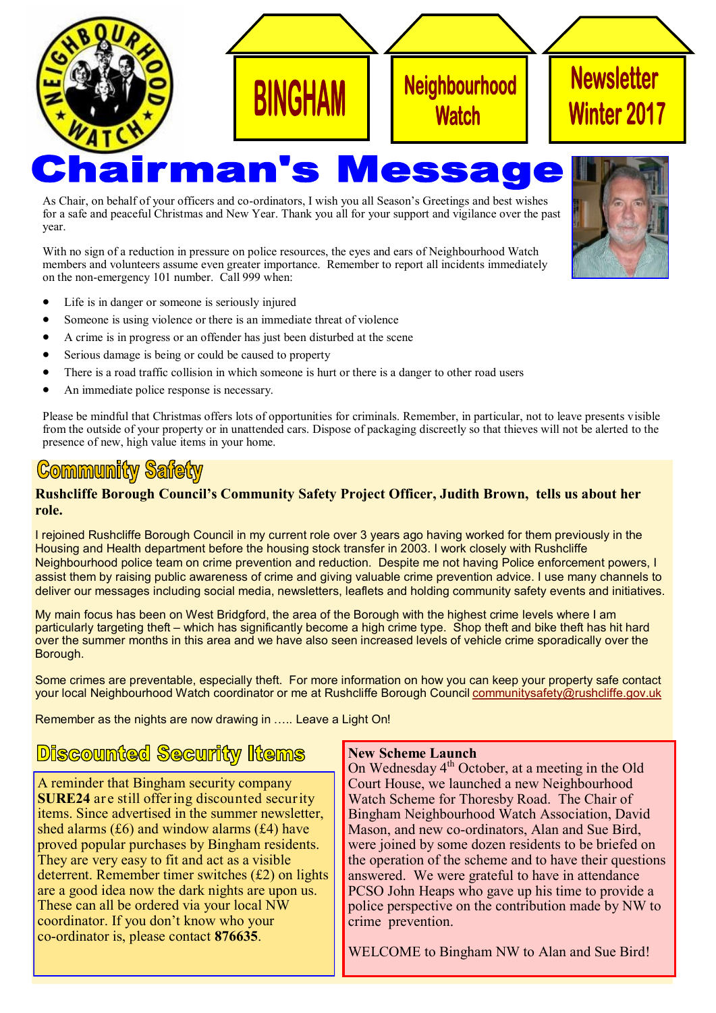

As Chair, on behalf of your officers and co-ordinators, I wish you all Season's Greetings and best wishes for a safe and peaceful Christmas and New Year. Thank you all for your support and vigilance over the past year.

With no sign of a reduction in pressure on police resources, the eyes and ears of Neighbourhood Watch members and volunteers assume even greater importance. Remember to report all incidents immediately on the non-emergency 101 number. Call 999 when:

- Life is in danger or someone is seriously injured
- Someone is using violence or there is an immediate threat of violence
- A crime is in progress or an offender has just been disturbed at the scene
- Serious damage is being or could be caused to property
- There is a road traffic collision in which someone is hurt or there is a danger to other road users
- An immediate police response is necessary.

Please be mindful that Christmas offers lots of opportunities for criminals. Remember, in particular, not to leave presents visible from the outside of your property or in unattended cars. Dispose of packaging discreetly so that thieves will not be alerted to the presence of new, high value items in your home.

## **Community Safety**

#### **Rushcliffe Borough Council's Community Safety Project Officer, Judith Brown, tells us about her role.**

I rejoined Rushcliffe Borough Council in my current role over 3 years ago having worked for them previously in the Housing and Health department before the housing stock transfer in 2003. I work closely with Rushcliffe Neighbourhood police team on crime prevention and reduction. Despite me not having Police enforcement powers, I assist them by raising public awareness of crime and giving valuable crime prevention advice. I use many channels to deliver our messages including social media, newsletters, leaflets and holding community safety events and initiatives.

My main focus has been on West Bridgford, the area of the Borough with the highest crime levels where I am particularly targeting theft – which has significantly become a high crime type. Shop theft and bike theft has hit hard over the summer months in this area and we have also seen increased levels of vehicle crime sporadically over the Borough.

Some crimes are preventable, especially theft. For more information on how you can keep your property safe contact your local Neighbourhood Watch coordinator or me at Rushcliffe Borough Council [communitysafety@rushcliffe.gov.uk](mailto:communitysafety@rushcliffe.gov.uk)

Remember as the nights are now drawing in ….. Leave a Light On!

## **Discounted Security Items**

A reminder that Bingham security company **SURE24** are still offering discounted security items. Since advertised in the summer newsletter, shed alarms  $(f6)$  and window alarms  $(f4)$  have proved popular purchases by Bingham residents. They are very easy to fit and act as a visible deterrent. Remember timer switches (£2) on lights are a good idea now the dark nights are upon us. These can all be ordered via your local NW coordinator. If you don't know who your co-ordinator is, please contact **876635**.

#### **New Scheme Launch**

On Wednesday  $4<sup>th</sup>$  October, at a meeting in the Old Court House, we launched a new Neighbourhood Watch Scheme for Thoresby Road. The Chair of Bingham Neighbourhood Watch Association, David Mason, and new co-ordinators, Alan and Sue Bird, were joined by some dozen residents to be briefed on the operation of the scheme and to have their questions answered. We were grateful to have in attendance PCSO John Heaps who gave up his time to provide a police perspective on the contribution made by NW to crime prevention.

WELCOME to Bingham NW to Alan and Sue Bird!